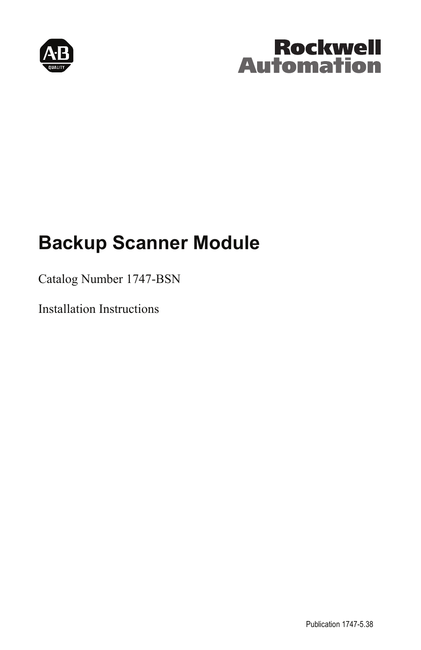

# **Rockwell Automation**

# **Backup Scanner Module**

## Catalog Number 1747-BSN

Installation Instructions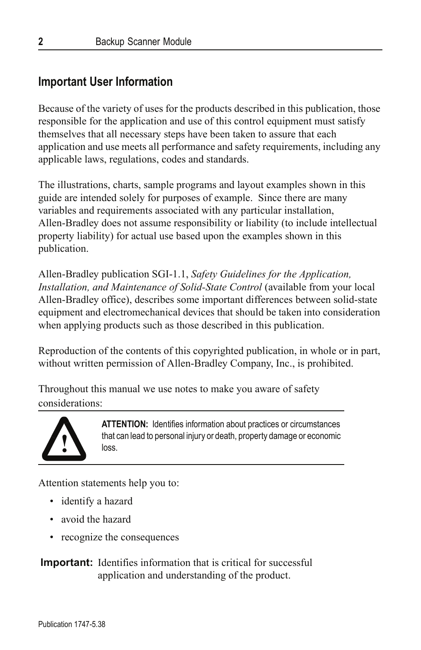## **Important User Information**

Because of the variety of uses for the products described in this publication, those responsible for the application and use of this control equipment must satisfy themselves that all necessary steps have been taken to assure that each application and use meets all performance and safety requirements, including any applicable laws, regulations, codes and standards.

The illustrations, charts, sample programs and layout examples shown in this guide are intended solely for purposes of example. Since there are many variables and requirements associated with any particular installation, Allen-Bradley does not assume responsibility or liability (to include intellectual property liability) for actual use based upon the examples shown in this publication.

Allen-Bradley publication SGI-1.1, *Safety Guidelines for the Application, Installation, and Maintenance of Solid-State Control* (available from your local Allen-Bradley office), describes some important differences between solid-state equipment and electromechanical devices that should be taken into consideration when applying products such as those described in this publication.

Reproduction of the contents of this copyrighted publication, in whole or in part, without written permission of Allen-Bradley Company, Inc., is prohibited.

Throughout this manual we use notes to make you aware of safety considerations:



**ATTENTION:** Identifies information about practices or circumstances that can lead to personal injury or death, property damage or economic loss.

Attention statements help you to:

- identify a hazard
- avoid the hazard
- recognize the consequences

**Important:** Identifies information that is critical for successful application and understanding of the product.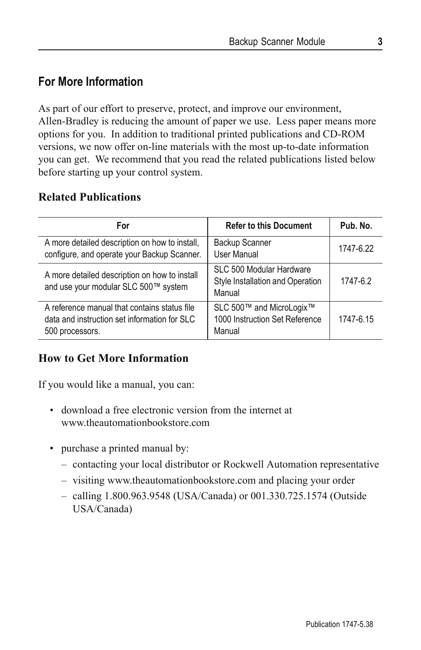## **For More Information**

As part of our effort to preserve, protect, and improve our environment, Allen-Bradley is reducing the amount of paper we use. Less paper means more options for you. In addition to traditional printed publications and CD-ROM versions, we now offer on-line materials with the most up-to-date information you can get. We recommend that you read the related publications listed below before starting up your control system.

#### **Related Publications**

| For                                                                                                             | <b>Refer to this Document</b>                                          | Pub. No.  |
|-----------------------------------------------------------------------------------------------------------------|------------------------------------------------------------------------|-----------|
| A more detailed description on how to install,<br>configure, and operate your Backup Scanner.                   | <b>Backup Scanner</b><br>User Manual                                   | 1747-6.22 |
| A more detailed description on how to install<br>and use your modular SLC 500™ system                           | SLC 500 Modular Hardware<br>Style Installation and Operation<br>Manual | 1747-6.2  |
| A reference manual that contains status file<br>data and instruction set information for SLC<br>500 processors. | SLC 500™ and MicroLogix™<br>1000 Instruction Set Reference<br>Manual   | 1747-6.15 |

#### **How to Get More Information**

If you would like a manual, you can:

- download a free electronic version from the internet at www.theautomationbookstore.com
- purchase a printed manual by:
	- contacting your local distributor or Rockwell Automation representative
	- visiting www.theautomationbookstore.com and placing your order
	- calling 1.800.963.9548 (USA/Canada) or 001.330.725.1574 (Outside USA/Canada)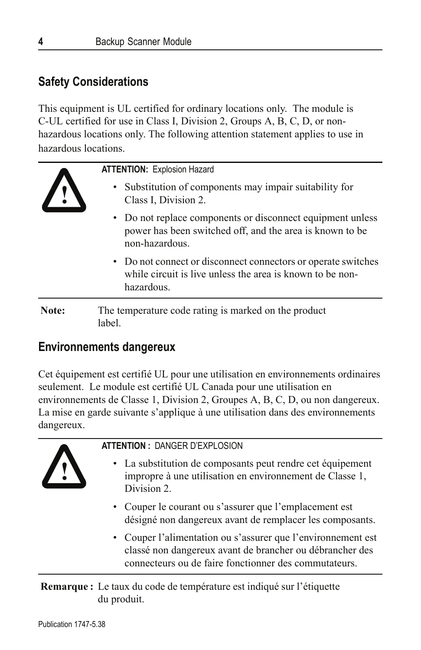## **Safety Considerations**

This equipment is UL certified for ordinary locations only. The module is C-UL certified for use in Class I, Division 2, Groups A, B, C, D, or nonhazardous locations only. The following attention statement applies to use in hazardous locations.

**! ATTENTION:** Explosion Hazard • Substitution of components may impair suitability for Class I, Division 2. • Do not replace components or disconnect equipment unless power has been switched off, and the area is known to be non-hazardous. • Do not connect or disconnect connectors or operate switches while circuit is live unless the area is known to be nonhazardous. Note: The temperature code rating is marked on the product

label.

## **Environnements dangereux**

Cet équipement est certifié UL pour une utilisation en environnements ordinaires seulement. Le module est certifié UL Canada pour une utilisation en environnements de Classe 1, Division 2, Groupes A, B, C, D, ou non dangereux. La mise en garde suivante s'applique à une utilisation dans des environnements dangereux.



#### **ATTENTION :** DANGER D'EXPLOSION

- La substitution de composants peut rendre cet équipement impropre à une utilisation en environnement de Classe 1, Division 2.
- Couper le courant ou s'assurer que l'emplacement est désigné non dangereux avant de remplacer les composants.
- Couper l'alimentation ou s'assurer que l'environnement est classé non dangereux avant de brancher ou débrancher des connecteurs ou de faire fonctionner des commutateurs.

**Remarque :** Le taux du code de température est indiqué sur l'étiquette du produit.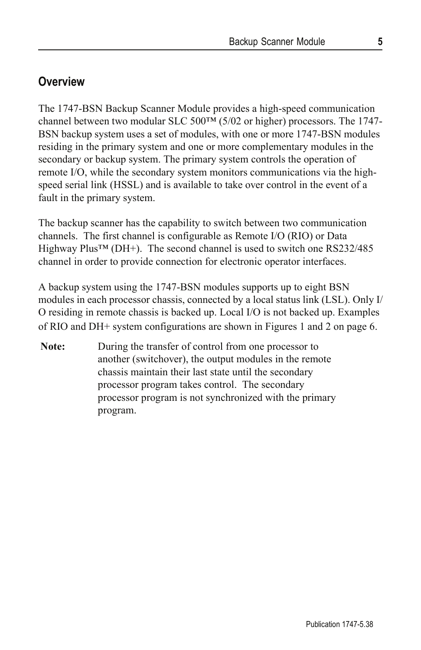## **Overview**

The 1747-BSN Backup Scanner Module provides a high-speed communication channel between two modular SLC 500 $TM$  (5/02 or higher) processors. The 1747-BSN backup system uses a set of modules, with one or more 1747-BSN modules residing in the primary system and one or more complementary modules in the secondary or backup system. The primary system controls the operation of remote I/O, while the secondary system monitors communications via the highspeed serial link (HSSL) and is available to take over control in the event of a fault in the primary system.

The backup scanner has the capability to switch between two communication channels. The first channel is configurable as Remote I/O (RIO) or Data Highway Plus™ (DH+). The second channel is used to switch one RS232/485 channel in order to provide connection for electronic operator interfaces.

A backup system using the 1747-BSN modules supports up to eight BSN modules in each processor chassis, connected by a local status link (LSL). Only I/ O residing in remote chassis is backed up. Local I/O is not backed up. Examples of RIO and DH+ system configurations are shown in Figures 1 and 2 on page 6.

**Note:** During the transfer of control from one processor to another (switchover), the output modules in the remote chassis maintain their last state until the secondary processor program takes control. The secondary processor program is not synchronized with the primary program.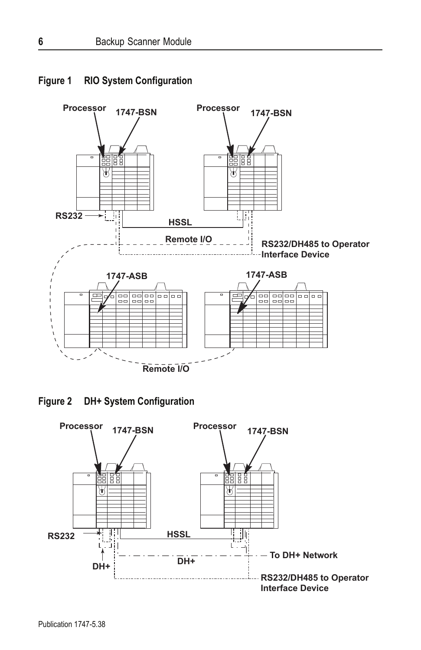

#### **Figure 1 RIO System Configuration**

**Figure 2 DH+ System Configuration**

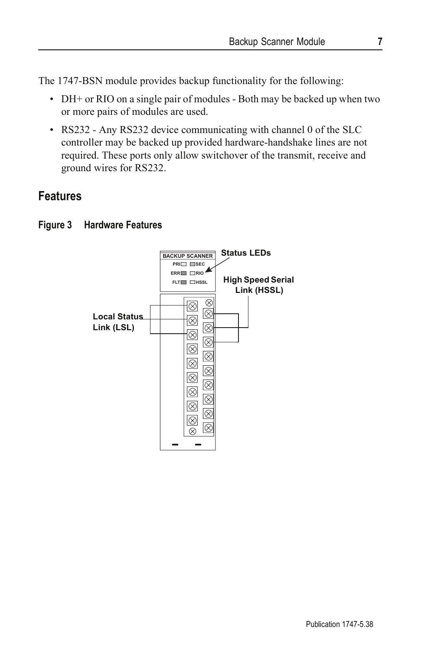The 1747-BSN module provides backup functionality for the following:

- DH+ or RIO on a single pair of modules Both may be backed up when two or more pairs of modules are used.
- RS232 Any RS232 device communicating with channel 0 of the SLC controller may be backed up provided hardware-handshake lines are not required. These ports only allow switchover of the transmit, receive and ground wires for RS232.

## **Features**



#### **Figure 3 Hardware Features**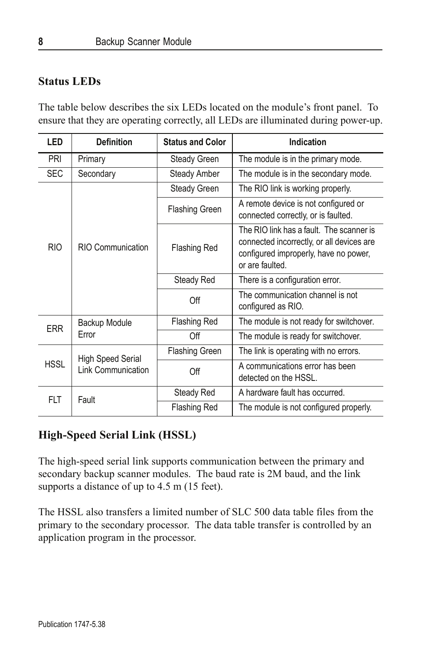#### **Status LEDs**

The table below describes the six LEDs located on the module's front panel. To ensure that they are operating correctly, all LEDs are illuminated during power-up.

| <b>LED</b>  | <b>Definition</b>                       | <b>Status and Color</b> | Indication                                                                                                                                        |
|-------------|-----------------------------------------|-------------------------|---------------------------------------------------------------------------------------------------------------------------------------------------|
| <b>PRI</b>  | Primary                                 | Steady Green            | The module is in the primary mode.                                                                                                                |
| <b>SEC</b>  | Secondary                               | Steady Amber            | The module is in the secondary mode.                                                                                                              |
| <b>RIO</b>  | RIO Communication                       | Steady Green            | The RIO link is working properly.                                                                                                                 |
|             |                                         | <b>Flashing Green</b>   | A remote device is not configured or<br>connected correctly, or is faulted.                                                                       |
|             |                                         | Flashing Red            | The RIO link has a fault. The scanner is<br>connected incorrectly, or all devices are<br>configured improperly, have no power,<br>or are faulted. |
|             |                                         | Steady Red              | There is a configuration error.                                                                                                                   |
|             |                                         | Off                     | The communication channel is not<br>configured as RIO.                                                                                            |
| <b>ERR</b>  | Backup Module                           | <b>Flashing Red</b>     | The module is not ready for switchover.                                                                                                           |
|             | Error                                   | Off                     | The module is ready for switchover.                                                                                                               |
| <b>HSSL</b> | High Speed Serial<br>Link Communication | <b>Flashing Green</b>   | The link is operating with no errors.                                                                                                             |
|             |                                         | Off                     | A communications error has been<br>detected on the HSSL.                                                                                          |
| <b>FLT</b>  | Fault                                   | Steady Red              | A hardware fault has occurred.                                                                                                                    |
|             |                                         | <b>Flashing Red</b>     | The module is not configured properly.                                                                                                            |

## **High-Speed Serial Link (HSSL)**

The high-speed serial link supports communication between the primary and secondary backup scanner modules. The baud rate is 2M baud, and the link supports a distance of up to 4.5 m (15 feet).

The HSSL also transfers a limited number of SLC 500 data table files from the primary to the secondary processor. The data table transfer is controlled by an application program in the processor.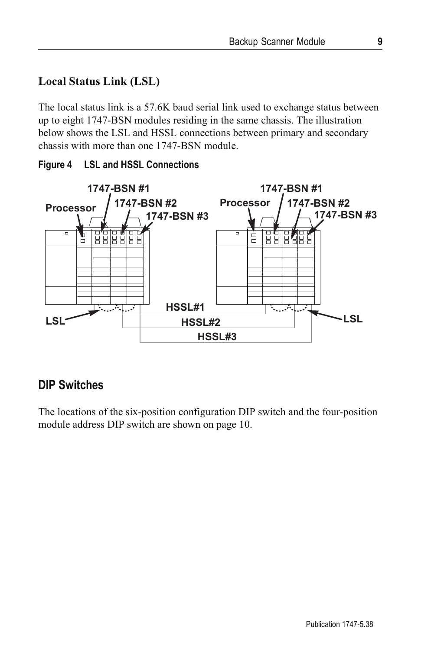## **Local Status Link (LSL)**

The local status link is a 57.6K baud serial link used to exchange status between up to eight 1747-BSN modules residing in the same chassis. The illustration below shows the LSL and HSSL connections between primary and secondary chassis with more than one 1747-BSN module.



#### **Figure 4 LSL and HSSL Connections**

## **DIP Switches**

The locations of the six-position configuration DIP switch and the four-position module address DIP switch are shown on page 10.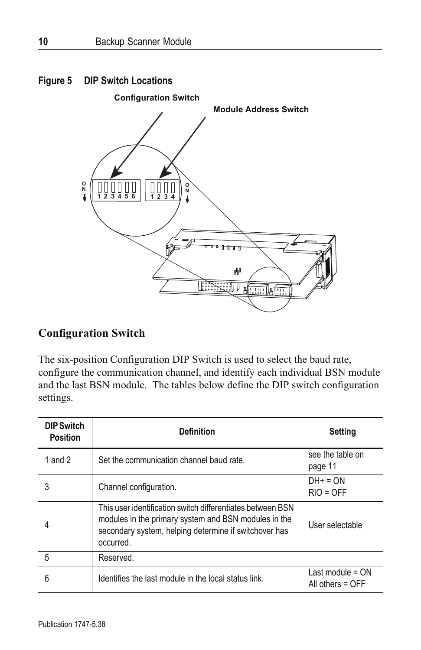

#### **Configuration Switch**

The six-position Configuration DIP Switch is used to select the baud rate, configure the communication channel, and identify each individual BSN module and the last BSN module. The tables below define the DIP switch configuration settings.

| <b>DIP Switch</b><br><b>Position</b> | <b>Definition</b>                                                                                                                                                                        | <b>Setting</b>                         |
|--------------------------------------|------------------------------------------------------------------------------------------------------------------------------------------------------------------------------------------|----------------------------------------|
| 1 and $2$                            | Set the communication channel baud rate.                                                                                                                                                 | see the table on<br>page 11            |
| 3                                    | Channel configuration.                                                                                                                                                                   | $DH+ = ON$<br>$RIO = OFF$              |
| 4                                    | This user identification switch differentiates between BSN<br>modules in the primary system and BSN modules in the<br>secondary system, helping determine if switchover has<br>occurred. | User selectable                        |
| 5                                    | Reserved.                                                                                                                                                                                |                                        |
| 6                                    | Identifies the last module in the local status link.                                                                                                                                     | Last module $= ON$<br>All others = OFF |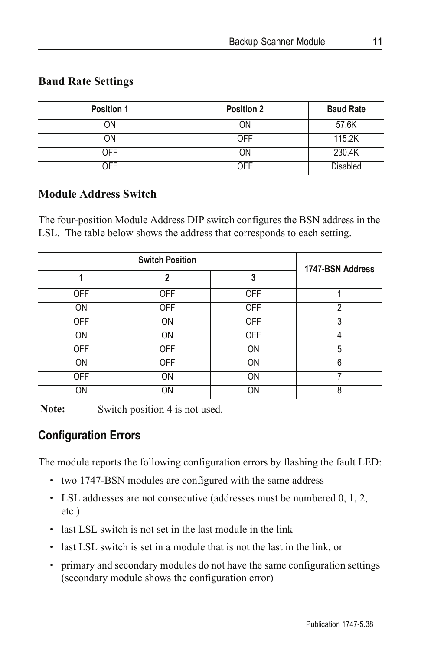## **Baud Rate Settings**

| Position 1 | <b>Position 2</b> | <b>Baud Rate</b> |
|------------|-------------------|------------------|
| ЭN         | ΟN                | 57.6K            |
| ЭN         | OFF               | 115.2K           |
| <b>OFF</b> | ΟN                | 230.4K           |
| ∩FF        | ∩FF               | <b>Disabled</b>  |

#### **Module Address Switch**

The four-position Module Address DIP switch configures the BSN address in the LSL. The table below shows the address that corresponds to each setting.

| <b>Switch Position</b> |            |            | 1747-BSN Address |
|------------------------|------------|------------|------------------|
|                        | 2          | 3          |                  |
| OFF                    | <b>OFF</b> | <b>OFF</b> |                  |
| <b>ON</b>              | <b>OFF</b> | <b>OFF</b> | 2                |
| <b>OFF</b>             | ON         | <b>OFF</b> | 3                |
| <b>ON</b>              | ON         | <b>OFF</b> | Λ                |
| <b>OFF</b>             | <b>OFF</b> | ON         | 5                |
| <b>ON</b>              | <b>OFF</b> | ON         | 6                |
| <b>OFF</b>             | ON         | ON         |                  |
| ON                     | ON         | ON         | 8                |

Note: Switch position 4 is not used.

## **Configuration Errors**

The module reports the following configuration errors by flashing the fault LED:

- two 1747-BSN modules are configured with the same address
- LSL addresses are not consecutive (addresses must be numbered 0, 1, 2, etc.)
- last LSL switch is not set in the last module in the link
- last LSL switch is set in a module that is not the last in the link, or
- primary and secondary modules do not have the same configuration settings (secondary module shows the configuration error)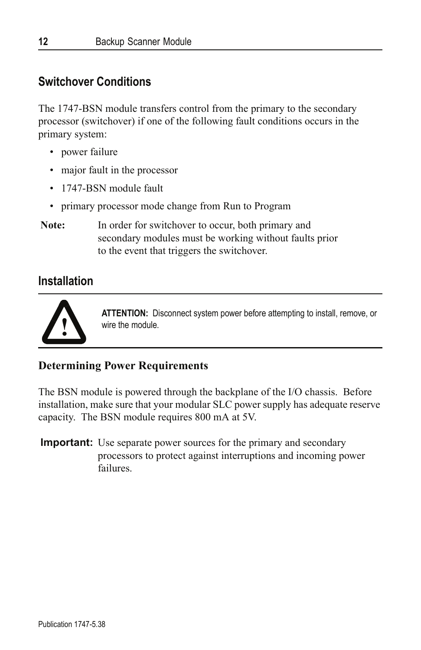## **Switchover Conditions**

The 1747-BSN module transfers control from the primary to the secondary processor (switchover) if one of the following fault conditions occurs in the primary system:

- power failure
- major fault in the processor
- 1747-BSN module fault
- primary processor mode change from Run to Program
- Note: In order for switchover to occur, both primary and secondary modules must be working without faults prior to the event that triggers the switchover.

#### **Installation**



**ATTENTION:** Disconnect system power before attempting to install, remove, or wire the module.

#### **Determining Power Requirements**

The BSN module is powered through the backplane of the I/O chassis. Before installation, make sure that your modular SLC power supply has adequate reserve capacity. The BSN module requires 800 mA at 5V.

**Important:** Use separate power sources for the primary and secondary processors to protect against interruptions and incoming power failures.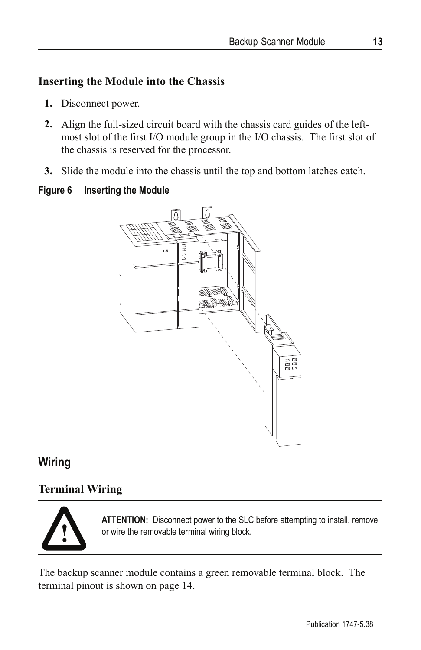## **Inserting the Module into the Chassis**

- **1.** Disconnect power.
- **2.** Align the full-sized circuit board with the chassis card guides of the leftmost slot of the first I/O module group in the I/O chassis. The first slot of the chassis is reserved for the processor.
- **3.** Slide the module into the chassis until the top and bottom latches catch.

#### **Figure 6 Inserting the Module**



## **Wiring**

## **Terminal Wiring**



**ATTENTION:** Disconnect power to the SLC before attempting to install, remove or wire the removable terminal wiring block.

The backup scanner module contains a green removable terminal block. The terminal pinout is shown on page 14.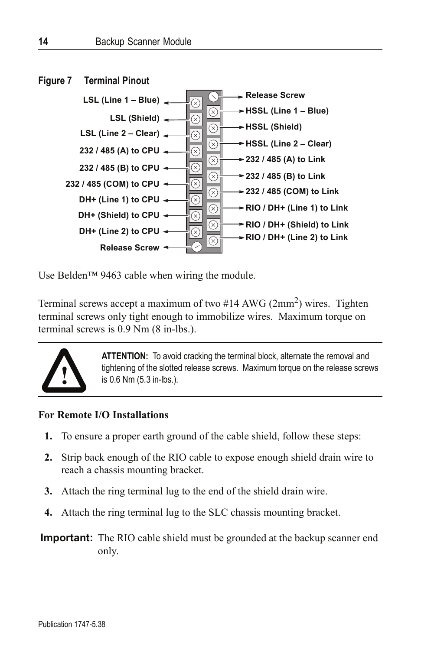

Use Belden™ 9463 cable when wiring the module.

Terminal screws accept a maximum of two  $#14$  AWG (2mm<sup>2</sup>) wires. Tighten terminal screws only tight enough to immobilize wires. Maximum torque on terminal screws is 0.9 Nm (8 in-lbs.).



**ATTENTION:** To avoid cracking the terminal block, alternate the removal and tightening of the slotted release screws. Maximum torque on the release screws is 0.6 Nm (5.3 in-lbs.).

#### **For Remote I/O Installations**

- **1.** To ensure a proper earth ground of the cable shield, follow these steps:
- **2.** Strip back enough of the RIO cable to expose enough shield drain wire to reach a chassis mounting bracket.
- **3.** Attach the ring terminal lug to the end of the shield drain wire.
- **4.** Attach the ring terminal lug to the SLC chassis mounting bracket.

**Important:** The RIO cable shield must be grounded at the backup scanner end only.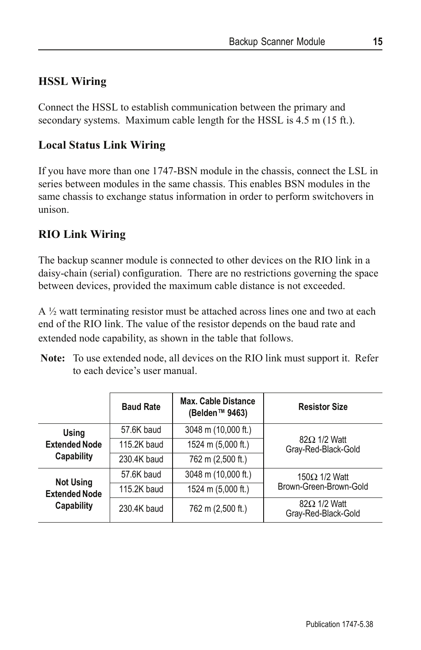## **HSSL Wiring**

Connect the HSSL to establish communication between the primary and secondary systems. Maximum cable length for the HSSL is 4.5 m (15 ft.).

## **Local Status Link Wiring**

If you have more than one 1747-BSN module in the chassis, connect the LSL in series between modules in the same chassis. This enables BSN modules in the same chassis to exchange status information in order to perform switchovers in unison.

#### **RIO Link Wiring**

The backup scanner module is connected to other devices on the RIO link in a daisy-chain (serial) configuration. There are no restrictions governing the space between devices, provided the maximum cable distance is not exceeded.

A ½ watt terminating resistor must be attached across lines one and two at each end of the RIO link. The value of the resistor depends on the baud rate and extended node capability, as shown in the table that follows.

| <b>Note:</b> To use extended node, all devices on the RIO link must support it. Refer |  |
|---------------------------------------------------------------------------------------|--|
| to each device's user manual.                                                         |  |

|                                                        | <b>Baud Rate</b> | <b>Max. Cable Distance</b><br>(Belden™ 9463) | <b>Resistor Size</b>                       |  |
|--------------------------------------------------------|------------------|----------------------------------------------|--------------------------------------------|--|
| Using<br><b>Extended Node</b><br>Capability            | 57.6K baud       | 3048 m (10,000 ft.)                          |                                            |  |
|                                                        | 115.2K baud      | 1524 m (5,000 ft.)                           | $82\Omega$ 1/2 Watt<br>Gray-Red-Black-Gold |  |
|                                                        | 230.4K baud      | 762 m (2,500 ft.)                            |                                            |  |
| <b>Not Using</b><br><b>Extended Node</b><br>Capability | 57.6K baud       | 3048 m (10,000 ft.)                          | 150 $\Omega$ 1/2 Watt                      |  |
|                                                        | 115.2K baud      | 1524 m (5,000 ft.)                           | Brown-Green-Brown-Gold                     |  |
|                                                        | 230.4K baud      | 762 m (2,500 ft.)                            | $82\Omega$ 1/2 Watt<br>Gray-Red-Black-Gold |  |